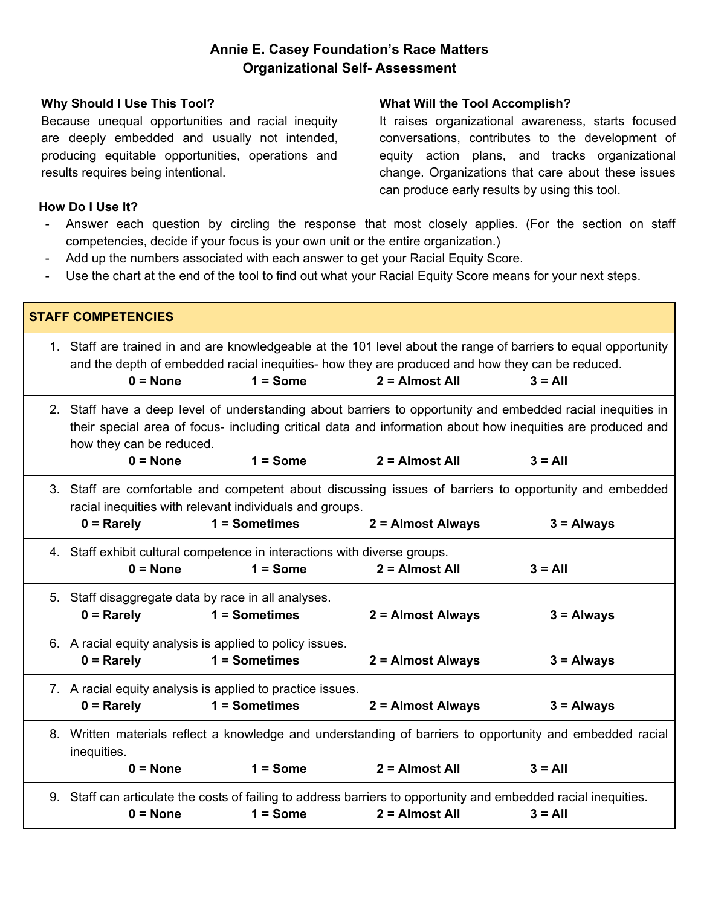## **Annie E. Casey Foundation's Race Matters Organizational Self- Assessment**

#### **Why Should I Use This Tool?**

Because unequal opportunities and racial inequity are deeply embedded and usually not intended, producing equitable opportunities, operations and results requires being intentional.

#### **What Will the Tool Accomplish?**

It raises organizational awareness, starts focused conversations, contributes to the development of equity action plans, and tracks organizational change. Organizations that care about these issues can produce early results by using this tool.

#### **How Do I Use It?**

- Answer each question by circling the response that most closely applies. (For the section on staff competencies, decide if your focus is your own unit or the entire organization.)
- Add up the numbers associated with each answer to get your Racial Equity Score.
- Use the chart at the end of the tool to find out what your Racial Equity Score means for your next steps.

| <b>STAFF COMPETENCIES</b> |                                                                                                                                                                                                                                                       |                 |                                                                                                                                                                                                                                        |              |  |  |  |
|---------------------------|-------------------------------------------------------------------------------------------------------------------------------------------------------------------------------------------------------------------------------------------------------|-----------------|----------------------------------------------------------------------------------------------------------------------------------------------------------------------------------------------------------------------------------------|--------------|--|--|--|
|                           | $0 = None$                                                                                                                                                                                                                                            | $1 = Some$      | 1. Staff are trained in and are knowledgeable at the 101 level about the range of barriers to equal opportunity<br>and the depth of embedded racial inequities- how they are produced and how they can be reduced.<br>$2 =$ Almost All | $3 = All$    |  |  |  |
|                           | 2. Staff have a deep level of understanding about barriers to opportunity and embedded racial inequities in<br>their special area of focus- including critical data and information about how inequities are produced and<br>how they can be reduced. |                 |                                                                                                                                                                                                                                        |              |  |  |  |
|                           | $0 = None$                                                                                                                                                                                                                                            | $1 = Some$      | $2 =$ Almost All                                                                                                                                                                                                                       | $3 = All$    |  |  |  |
|                           | 3. Staff are comfortable and competent about discussing issues of barriers to opportunity and embedded<br>racial inequities with relevant individuals and groups.                                                                                     |                 |                                                                                                                                                                                                                                        |              |  |  |  |
|                           | $0 =$ Rarely                                                                                                                                                                                                                                          | $1 =$ Sometimes | 2 = Almost Always                                                                                                                                                                                                                      | $3 =$ Always |  |  |  |
|                           | 4. Staff exhibit cultural competence in interactions with diverse groups.<br>$0 = None$                                                                                                                                                               | $1 = Some$      | $2 =$ Almost All                                                                                                                                                                                                                       | $3 = AII$    |  |  |  |
|                           | 5. Staff disaggregate data by race in all analyses.<br>$0 =$ Rarely                                                                                                                                                                                   | $1 =$ Sometimes | 2 = Almost Always                                                                                                                                                                                                                      | $3 =$ Always |  |  |  |
|                           | 6. A racial equity analysis is applied to policy issues.<br>$0 =$ Rarely                                                                                                                                                                              | $1 =$ Sometimes | 2 = Almost Always                                                                                                                                                                                                                      | $3 =$ Always |  |  |  |
|                           | 7. A racial equity analysis is applied to practice issues.<br>$0 =$ Rarely<br>$1 =$ Sometimes<br>2 = Almost Always<br>$3 =$ Always                                                                                                                    |                 |                                                                                                                                                                                                                                        |              |  |  |  |
|                           | 8. Written materials reflect a knowledge and understanding of barriers to opportunity and embedded racial<br>inequities.                                                                                                                              |                 |                                                                                                                                                                                                                                        |              |  |  |  |
|                           | $0 = None$                                                                                                                                                                                                                                            | $1 = Some$      | $2 =$ Almost All                                                                                                                                                                                                                       | $3 = All$    |  |  |  |
|                           | 9. Staff can articulate the costs of failing to address barriers to opportunity and embedded racial inequities.                                                                                                                                       |                 |                                                                                                                                                                                                                                        |              |  |  |  |
|                           | $0 = None$                                                                                                                                                                                                                                            | $1 = Some$      | $2 =$ Almost All                                                                                                                                                                                                                       | $3 = All$    |  |  |  |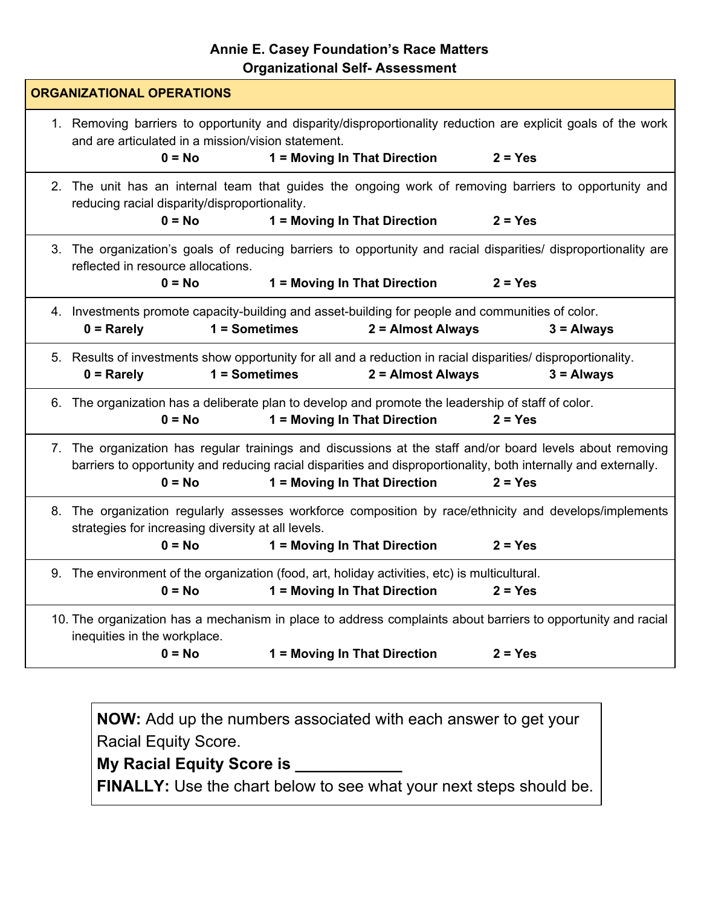## **Annie E. Casey Foundation's Race Matters Organizational Self- Assessment**

| <b>ORGANIZATIONAL OPERATIONS</b> |                                                                                                                                                                                                                                                                                       |                                                                                                                                                |           |  |  |
|----------------------------------|---------------------------------------------------------------------------------------------------------------------------------------------------------------------------------------------------------------------------------------------------------------------------------------|------------------------------------------------------------------------------------------------------------------------------------------------|-----------|--|--|
|                                  | and are articulated in a mission/vision statement.<br>$0 = No$                                                                                                                                                                                                                        | 1. Removing barriers to opportunity and disparity/disproportionality reduction are explicit goals of the work<br>1 = Moving In That Direction  | $2 = Yes$ |  |  |
|                                  | reducing racial disparity/disproportionality.<br>$0 = No$                                                                                                                                                                                                                             | 2. The unit has an internal team that guides the ongoing work of removing barriers to opportunity and<br>1 = Moving In That Direction          | $2 = Yes$ |  |  |
|                                  | reflected in resource allocations.<br>$0 = No$                                                                                                                                                                                                                                        | 3. The organization's goals of reducing barriers to opportunity and racial disparities/ disproportionality are<br>1 = Moving In That Direction | $2 = Yes$ |  |  |
|                                  | 4. Investments promote capacity-building and asset-building for people and communities of color.<br>$1 =$ Sometimes<br>2 = Almost Always<br>$0 =$ Rarely<br>$3 =$ Always                                                                                                              |                                                                                                                                                |           |  |  |
|                                  | 5. Results of investments show opportunity for all and a reduction in racial disparities/ disproportionality.<br>1 = Sometimes<br>2 = Almost Always<br>$3 =$ Always<br>$0 =$ Rarely                                                                                                   |                                                                                                                                                |           |  |  |
|                                  | $0 = No$                                                                                                                                                                                                                                                                              | 6. The organization has a deliberate plan to develop and promote the leadership of staff of color.<br>1 = Moving In That Direction             | $2 = Yes$ |  |  |
|                                  | 7. The organization has regular trainings and discussions at the staff and/or board levels about removing<br>barriers to opportunity and reducing racial disparities and disproportionality, both internally and externally.<br>1 = Moving In That Direction<br>$0 = No$<br>$2 = Yes$ |                                                                                                                                                |           |  |  |
|                                  | 8. The organization regularly assesses workforce composition by race/ethnicity and develops/implements<br>strategies for increasing diversity at all levels.<br>$0 = No$<br>1 = Moving In That Direction<br>$2 = Yes$                                                                 |                                                                                                                                                |           |  |  |
|                                  | $0 = No$                                                                                                                                                                                                                                                                              | 9. The environment of the organization (food, art, holiday activities, etc) is multicultural.<br>1 = Moving In That Direction                  | $2 = Yes$ |  |  |
|                                  | inequities in the workplace.<br>$0 = No$                                                                                                                                                                                                                                              | 10. The organization has a mechanism in place to address complaints about barriers to opportunity and racial<br>1 = Moving In That Direction   | $2 = Yes$ |  |  |
|                                  |                                                                                                                                                                                                                                                                                       |                                                                                                                                                |           |  |  |

**NOW:** Add up the numbers associated with each answer to get your Racial Equity Score.

# **My Racial Equity Score is \_\_\_\_\_\_\_\_\_\_\_\_**

**FINALLY:** Use the chart below to see what your next steps should be.